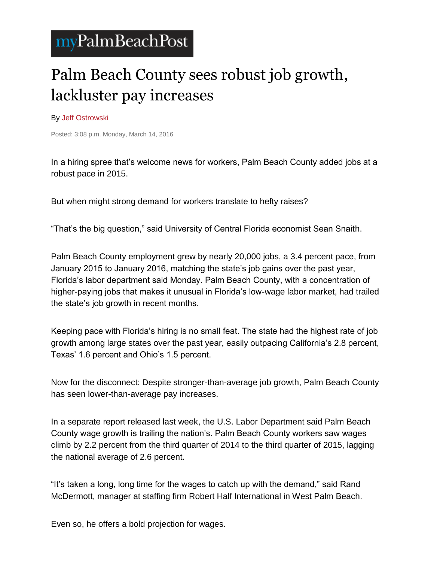## myPalmBeachPost

## Palm Beach County sees robust job growth, lackluster pay increases

By [Jeff Ostrowski](http://www.mypalmbeachpost.com/staff/jeff-ostrowski/)

Posted: 3:08 p.m. Monday, March 14, 2016

In a hiring spree that's welcome news for workers, Palm Beach County added jobs at a robust pace in 2015.

But when might strong demand for workers translate to hefty raises?

"That's the big question," said University of Central Florida economist Sean Snaith.

Palm Beach County employment grew by nearly 20,000 jobs, a 3.4 percent pace, from January 2015 to January 2016, matching the state's job gains over the past year, Florida's labor department said Monday. Palm Beach County, with a concentration of higher-paying jobs that makes it unusual in Florida's low-wage labor market, had trailed the state's job growth in recent months.

Keeping pace with Florida's hiring is no small feat. The state had the highest rate of job growth among large states over the past year, easily outpacing California's 2.8 percent, Texas' 1.6 percent and Ohio's 1.5 percent.

Now for the disconnect: Despite stronger-than-average job growth, Palm Beach County has seen lower-than-average pay increases.

In a separate report released last week, the U.S. Labor Department said Palm Beach County wage growth is trailing the nation's. Palm Beach County workers saw wages climb by 2.2 percent from the third quarter of 2014 to the third quarter of 2015, lagging the national average of 2.6 percent.

"It's taken a long, long time for the wages to catch up with the demand," said Rand McDermott, manager at staffing firm Robert Half International in West Palm Beach.

Even so, he offers a bold projection for wages.